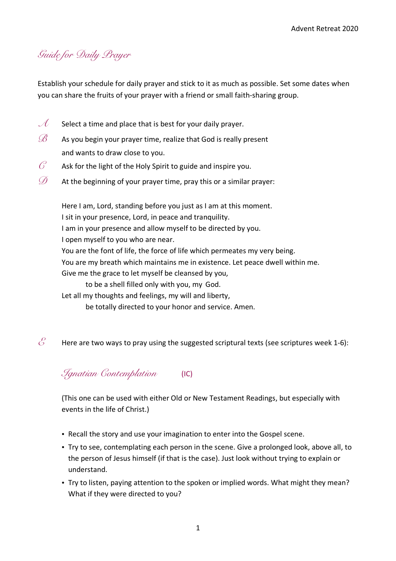## *Guide for Daily Prayer*

Establish your schedule for daily prayer and stick to it as much as possible. Set some dates when you can share the fruits of your prayer with a friend or small faith-sharing group.

- $\mathcal{A}$  Select a time and place that is best for your daily prayer.
- $\mathscr{B}$  As you begin your prayer time, realize that God is really present and wants to draw close to you.
- $\mathcal{C}$  Ask for the light of the Holy Spirit to guide and inspire you.
- $\mathscr{D}$  At the beginning of your prayer time, pray this or a similar prayer:

Here I am, Lord, standing before you just as I am at this moment. I sit in your presence, Lord, in peace and tranquility. I am in your presence and allow myself to be directed by you. I open myself to you who are near. You are the font of life, the force of life which permeates my very being. You are my breath which maintains me in existence. Let peace dwell within me. Give me the grace to let myself be cleansed by you, to be a shell filled only with you, my God. Let all my thoughts and feelings, my will and liberty, be totally directed to your honor and service. Amen.

 $\mathcal{E}$  Here are two ways to pray using the suggested scriptural texts (see scriptures week 1-6):

## *Ignatian Contemplation* (IC)

(This one can be used with either Old or New Testament Readings, but especially with events in the life of Christ.)

- Recall the story and use your imagination to enter into the Gospel scene.
- Try to see, contemplating each person in the scene. Give a prolonged look, above all, to the person of Jesus himself (if that is the case). Just look without trying to explain or understand.
- Try to listen, paying attention to the spoken or implied words. What might they mean? What if they were directed to you?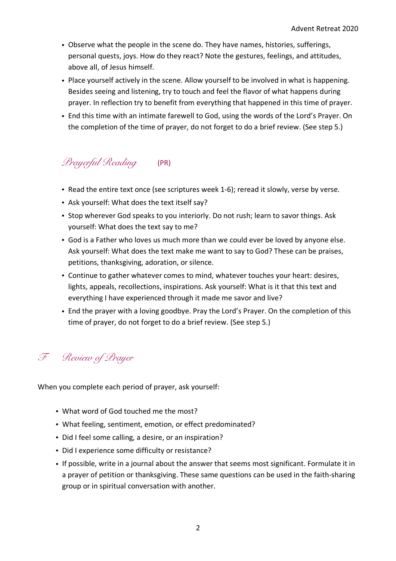- Observe what the people in the scene do. They have names, histories, sufferings, personal quests, joys. How do they react? Note the gestures, feelings, and attitudes, above all, of Jesus himself.
- Place yourself actively in the scene. Allow yourself to be involved in what is happening. Besides seeing and listening, try to touch and feel the flavor of what happens during prayer. In reflection try to benefit from everything that happened in this time of prayer.
- End this time with an intimate farewell to God, using the words of the Lord's Prayer. On the completion of the time of prayer, do not forget to do a brief review. (See step 5.)

## *Prayerful Reading* (PR)

- Read the entire text once (see scriptures week 1-6); reread it slowly, verse by verse.
- Ask yourself: What does the text itself say?
- Stop wherever God speaks to you interiorly. Do not rush; learn to savor things. Ask yourself: What does the text say to me?
- God is a Father who loves us much more than we could ever be loved by anyone else. Ask yourself: What does the text make me want to say to God? These can be praises, petitions, thanksgiving, adoration, or silence.
- Continue to gather whatever comes to mind, whatever touches your heart: desires, lights, appeals, recollections, inspirations. Ask yourself: What is it that this text and everything I have experienced through it made me savor and live?
- End the prayer with a loving goodbye. Pray the Lord's Prayer. On the completion of this time of prayer, do not forget to do a brief review. (See step 5.)

*F Review of Prayer*

When you complete each period of prayer, ask yourself:

- What word of God touched me the most?
- What feeling, sentiment, emotion, or effect predominated?
- Did I feel some calling, a desire, or an inspiration?
- Did I experience some difficulty or resistance?
- If possible, write in a journal about the answer that seems most significant. Formulate it in a prayer of petition or thanksgiving. These same questions can be used in the faith-sharing group or in spiritual conversation with another.